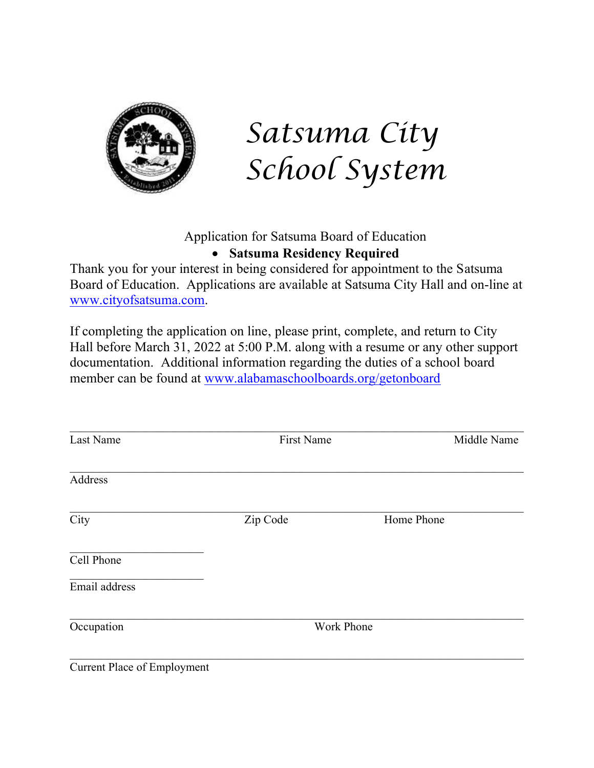

*Satsuma City School System*

### Application for Satsuma Board of Education • **Satsuma Residency Required**

Thank you for your interest in being considered for appointment to the Satsuma Board of Education. Applications are available at Satsuma City Hall and on-line at [www.cityofsatsuma.com.](http://www.cityofsatsuma.com/)

If completing the application on line, please print, complete, and return to City Hall before March 31, 2022 at 5:00 P.M. along with a resume or any other support documentation. Additional information regarding the duties of a school board member can be found at [www.alabamaschoolboards.org/getonboard](http://www.alabamaschoolboards.org/getonboard)

| Last Name     | First Name        | Middle Name |
|---------------|-------------------|-------------|
| Address       |                   |             |
| City          | Zip Code          | Home Phone  |
| Cell Phone    |                   |             |
| Email address |                   |             |
| Occupation    | <b>Work Phone</b> |             |

Current Place of Employment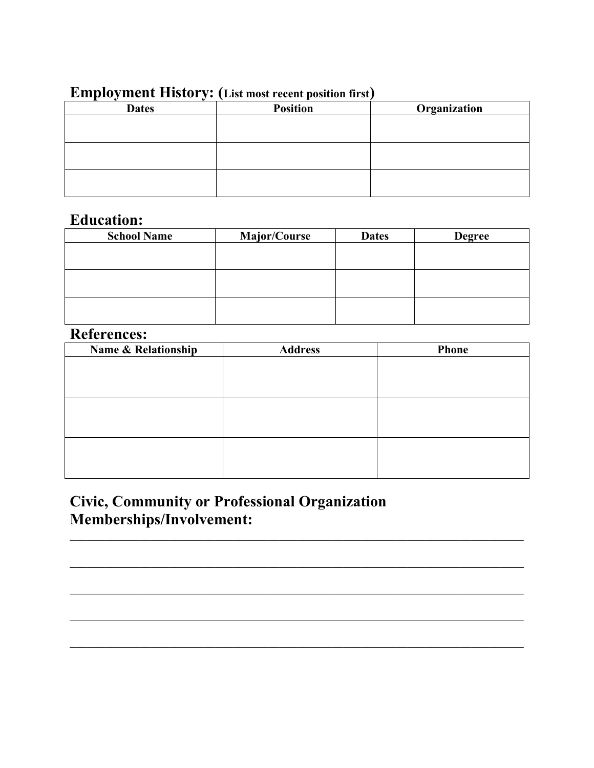| ЕШРЮУШЕНЬ ПІЗІОІ У. | <b>TER HOST LECETT DOSITION HILST</b> |              |
|---------------------|---------------------------------------|--------------|
| <b>Dates</b>        | <b>Position</b>                       | Organization |
|                     |                                       |              |
|                     |                                       |              |
|                     |                                       |              |
|                     |                                       |              |
|                     |                                       |              |
|                     |                                       |              |

### **Employment History: (List most recent position first)**

## **Education:**

| <b>School Name</b> | <b>Major/Course</b> | <b>Dates</b> | <b>Degree</b> |
|--------------------|---------------------|--------------|---------------|
|                    |                     |              |               |
|                    |                     |              |               |
|                    |                     |              |               |
|                    |                     |              |               |
|                    |                     |              |               |
|                    |                     |              |               |

## **References:**

| Name & Relationship | <b>Address</b> | <b>Phone</b> |
|---------------------|----------------|--------------|
|                     |                |              |
|                     |                |              |
|                     |                |              |
|                     |                |              |
|                     |                |              |
|                     |                |              |
|                     |                |              |
|                     |                |              |

 $\mathcal{L}_\mathcal{L} = \mathcal{L}_\mathcal{L} = \mathcal{L}_\mathcal{L} = \mathcal{L}_\mathcal{L} = \mathcal{L}_\mathcal{L} = \mathcal{L}_\mathcal{L} = \mathcal{L}_\mathcal{L} = \mathcal{L}_\mathcal{L} = \mathcal{L}_\mathcal{L} = \mathcal{L}_\mathcal{L} = \mathcal{L}_\mathcal{L} = \mathcal{L}_\mathcal{L} = \mathcal{L}_\mathcal{L} = \mathcal{L}_\mathcal{L} = \mathcal{L}_\mathcal{L} = \mathcal{L}_\mathcal{L} = \mathcal{L}_\mathcal{L}$ 

# **Civic, Community or Professional Organization Memberships/Involvement:**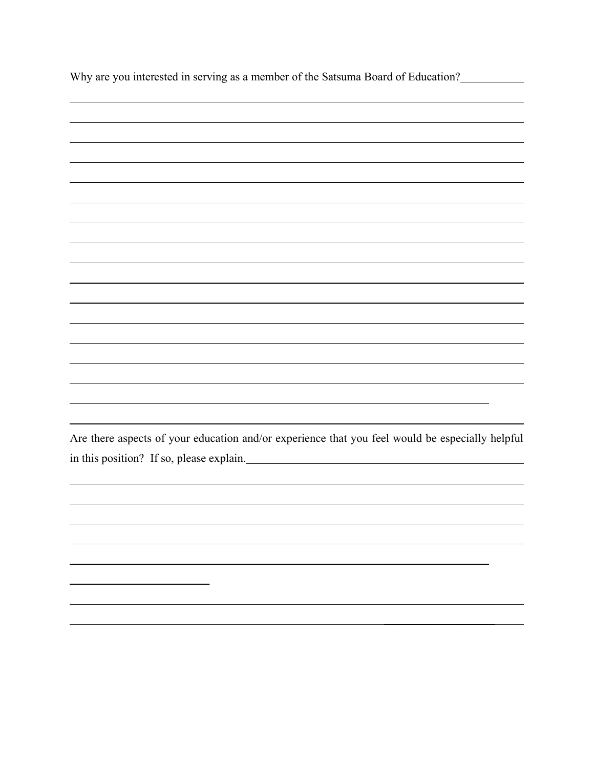| Why are you interested in serving as a member of the Satsuma Board of Education?                |
|-------------------------------------------------------------------------------------------------|
|                                                                                                 |
|                                                                                                 |
|                                                                                                 |
|                                                                                                 |
|                                                                                                 |
|                                                                                                 |
|                                                                                                 |
|                                                                                                 |
|                                                                                                 |
|                                                                                                 |
|                                                                                                 |
|                                                                                                 |
|                                                                                                 |
| Are there aspects of your education and/or experience that you feel would be especially helpful |
|                                                                                                 |
|                                                                                                 |
|                                                                                                 |
|                                                                                                 |
|                                                                                                 |
|                                                                                                 |
|                                                                                                 |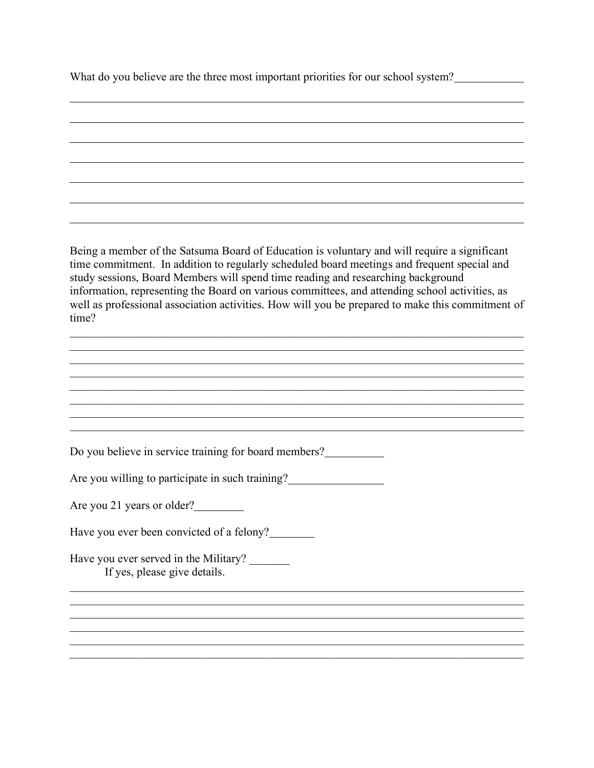What do you believe are the three most important priorities for our school system?

Being a member of the Satsuma Board of Education is voluntary and will require a significant time commitment. In addition to regularly scheduled board meetings and frequent special and study sessions, Board Members will spend time reading and researching background information, representing the Board on various committees, and attending school activities, as well as professional association activities. How will you be prepared to make this commitment of time?  $\mathcal{L}_\mathcal{L} = \mathcal{L}_\mathcal{L} = \mathcal{L}_\mathcal{L} = \mathcal{L}_\mathcal{L} = \mathcal{L}_\mathcal{L} = \mathcal{L}_\mathcal{L} = \mathcal{L}_\mathcal{L} = \mathcal{L}_\mathcal{L} = \mathcal{L}_\mathcal{L} = \mathcal{L}_\mathcal{L} = \mathcal{L}_\mathcal{L} = \mathcal{L}_\mathcal{L} = \mathcal{L}_\mathcal{L} = \mathcal{L}_\mathcal{L} = \mathcal{L}_\mathcal{L} = \mathcal{L}_\mathcal{L} = \mathcal{L}_\mathcal{L}$  $\mathcal{L}_\mathcal{L} = \mathcal{L}_\mathcal{L} = \mathcal{L}_\mathcal{L} = \mathcal{L}_\mathcal{L} = \mathcal{L}_\mathcal{L} = \mathcal{L}_\mathcal{L} = \mathcal{L}_\mathcal{L} = \mathcal{L}_\mathcal{L} = \mathcal{L}_\mathcal{L} = \mathcal{L}_\mathcal{L} = \mathcal{L}_\mathcal{L} = \mathcal{L}_\mathcal{L} = \mathcal{L}_\mathcal{L} = \mathcal{L}_\mathcal{L} = \mathcal{L}_\mathcal{L} = \mathcal{L}_\mathcal{L} = \mathcal{L}_\mathcal{L}$ Do you believe in service training for board members? Are you willing to participate in such training? Are you 21 years or older? Have you ever been convicted of a felony? Have you ever served in the Military? If yes, please give details.